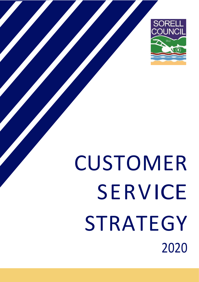

# CUSTOMER SERVICE STRATEGY 2020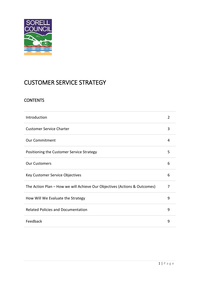

# CUSTOMER SERVICE STRATEGY

# **CONTENTS**

| Introduction                                                              | 2 |
|---------------------------------------------------------------------------|---|
| <b>Customer Service Charter</b>                                           | 3 |
| <b>Our Commitment</b>                                                     | 4 |
| Positioning the Customer Service Strategy                                 | 5 |
| <b>Our Customers</b>                                                      | 6 |
| Key Customer Service Objectives                                           | 6 |
| The Action Plan - How we will Achieve Our Objectives (Actions & Outcomes) | 7 |
| How Will We Evaluate the Strategy                                         | 9 |
| <b>Related Policies and Documentation</b>                                 | 9 |
| Feedback                                                                  | 9 |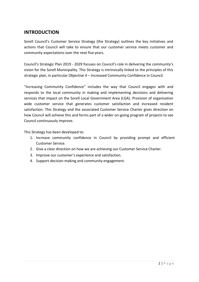# **INTRODUCTION**

Sorell Council's Customer Service Strategy (the Strategy) outlines the key initiatives and actions that Council will take to ensure that our customer service meets customer and community expectations over the next five years.

Council's Strategic Plan 2019 - 2029 focuses on Council's role in delivering the community's vision for the Sorell Municipality. This Strategy is intrinsically linked to the principles of this strategic plan, in particular Objective 4 – Increased Community Confidence in Council.

"Increasing Community Confidence" includes the way that Council engages with and responds to the local community in making and implementing decisions and delivering services that impact on the Sorell Local Government Area (LGA). Provision of organisation wide customer service that generates customer satisfaction and increased resident satisfaction. This Strategy and the associated Customer Service Charter gives direction on how Council will achieve this and forms part of a wider on-going program of projects to see Council continuously improve.

This Strategy has been developed to:

- 1. Increase community confidence in Council by providing prompt and efficient Customer Service.
- 2. Give a clear direction on how we are achieving our Customer Service Charter.
- 3. Improve our customer's experience and satisfaction.
- 4. Support decision making and community engagement.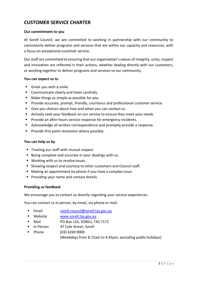# **CUSTOMER SERVICE CHARTER**

### **Our commitment to you**

At Sorell Council, we are committed to working in partnership with our community to consistently deliver programs and services that are within our capacity and resources, with a focus on exceptional customer service.

Our staff are committed to ensuring that our organisation's values of integrity, unity, respect and innovation are reflected in their actions, whether dealing directly with our customers, or working together to deliver programs and services to our community.

### **You can expect us to**

- Greet you with a smile.
- **EXECOMMUNICATE CLEARLY AND LISTED COMMUNICATE**
- Make things as simple as possible for you.
- **Provide accurate, prompt, friendly, courteous and professional customer service.**
- Give you choices about how and when you can contact us.
- Actively seek your feedback on our service to ensure they meet your needs.
- **Provide an after-hours service response for emergency incidents.**
- Acknowledge all written correspondence and promptly provide a response.
- **Provide first point resolution where possible.**

### **You can help us by**

- Treating our staff with mutual respect.
- Being complete and accurate in your dealings with us.
- Working with us to resolve issues.
- **Showing respect and courtesy to other customers and Council staff.**
- Making an appointment by phone if you have a complex issue.
- **Providing your name and contact details.**

### **Providing us feedback**

We encourage you to contact us directly regarding your service experiences.

You can contact us in person, by email, via phone or mail:

- Email sorell.council@sorell.tas.gov.au
- Website WWW.sorell.tas.gov.au
- Mail PO Box 126, SORELL TAS 7172
- In Person 47 Cole Street, Sorell
- Phone (03) 6269 0000 (Weekdays from 8.15am to 4.45pm, excluding public holidays)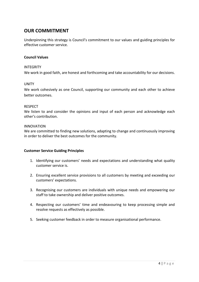# **OUR COMMITMENT**

Underpinning this strategy is Council's commitment to our values and guiding principles for effective customer service.

### **Council Values**

### INTEGRITY

We work in good faith, are honest and forthcoming and take accountability for our decisions.

### UNITY

We work cohesively as one Council, supporting our community and each other to achieve better outcomes.

### RESPECT

We listen to and consider the opinions and input of each person and acknowledge each other's contribution.

### INNOVATION

We are committed to finding new solutions, adapting to change and continuously improving in order to deliver the best outcomes for the community.

### **Customer Service Guiding Principles**

- 1. Identifying our customers' needs and expectations and understanding what quality customer service is.
- 2. Ensuring excellent service provisions to all customers by meeting and exceeding our customers' expectations.
- 3. Recognising our customers are individuals with unique needs and empowering our staff to take ownership and deliver positive outcomes.
- 4. Respecting our customers' time and endeavouring to keep processing simple and resolve requests as effectively as possible.
- 5. Seeking customer feedback in order to measure organisational performance.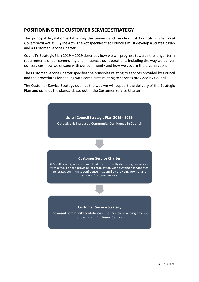# **POSITIONING THE CUSTOMER SERVICE STRATEGY**

The principal legislation establishing the powers and functions of Councils is *The [Local](http://www.thelaw.tas.gov.au/tocview/index.w3p;cond=all;doc_id=95%2B%2B1993%2BAT%40EN%2B20150807000000;histon=;prompt=;rec=;term=local%20government)  [Government Act 1993](http://www.thelaw.tas.gov.au/tocview/index.w3p;cond=all;doc_id=95%2B%2B1993%2BAT%40EN%2B20150807000000;histon=;prompt=;rec=;term=local%20government) (*The Act). The Act specifies that Council's must develop a Strategic Plan and a Customer Service Charter.

Council's Strategic Plan 2019 – 2029 describes how we will progress towards the longer term requirements of our community and influences our operations, including the way we deliver our services, how we engage with our community and how we govern the organisation.

The Customer Service Charter specifies the principles relating to services provided by Council and the procedures for dealing with complaints relating to services provided by Council.

The Customer Service Strategy outlines the way we will support the delivery of the Strategic Plan and upholds the standards set out in the Customer Service Charter.

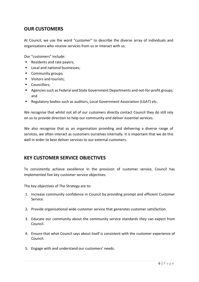# **OUR CUSTOMERS**

At Council, we use the word "customer" to describe the diverse array of individuals and organisations who receive services from us or interact with us.

Our "customers" include:

- Residents and rate payers;
- Local and national businesses;
- **Community groups;**
- Visitors and tourists:
- Councillors:
- Agencies such as Federal and State Government Departments and not-for-profit groups; and
- Regulatory bodies such as auditors, Local Government Association (LGAT) etc.

We recognise that whilst not all of our customers directly contact Council they do still rely on us to provide direction to help our community and deliver essential services.

We also recognise that as an organisation providing and delivering a diverse range of services, we often interact as customers ourselves internally. It is important that we do this well in order to best deliver services to our external customers.

## **KEY CUSTOMER SERVICE OBJECTIVES**

To consistently achieve excellence in the provision of customer service, Council has implemented five key customer service objectives.

The key objectives of The Strategy are to:

- 1. Increase community confidence in Council by providing prompt and efficient Customer Service.
- 2. Provide organisational wide customer service that generates customer satisfaction.
- 3. Educate our community about the community service standards they can expect from Council.
- 4. Ensure that what Council says about itself is consistent with the customer experience of Council.
- 5. Engage with and understand our customers' needs.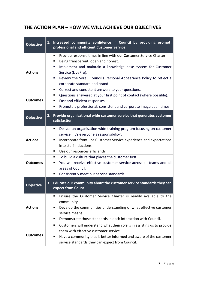# **THE ACTION PLAN – HOW WE WILL ACHIEVE OUR OBJECTIVES**

| <b>Objective</b> | 1. Increased community confidence in Council by providing prompt,<br>professional and efficient Customer Service.                                                                                                                                                                                                         |
|------------------|---------------------------------------------------------------------------------------------------------------------------------------------------------------------------------------------------------------------------------------------------------------------------------------------------------------------------|
| <b>Actions</b>   | Provide response times in line with our Customer Service Charter.<br>٠<br>Being transparent, open and honest.<br>п<br>Implement and maintain a knowledge base system for Customer<br>ш<br>Service (LivePro).<br>Review the Sorell Council's Personal Appearance Policy to reflect a<br>ш<br>corporate standard and brand. |
| <b>Outcomes</b>  | Correct and consistent answers to your questions.<br>ш<br>Questions answered at your first point of contact (where possible).<br>ш<br>Fast and efficient responses.<br>п<br>Promote a professional, consistent and corporate image at all times.<br>п                                                                     |
| <b>Objective</b> | 2. Provide organisational wide customer service that generates customer<br>satisfaction.                                                                                                                                                                                                                                  |
| <b>Actions</b>   | Deliver an organisation wide training program focusing on customer<br>٠<br>service, 'It's everyone's responsibility'.<br>Incorporate front line Customer Service experience and expectations<br>п<br>into staff inductions.<br>Use our resources efficiently                                                              |
| <b>Outcomes</b>  | To build a culture that places the customer first.<br>ш<br>You will receive effective customer service across all teams and all<br>п<br>areas of Council.<br>Consistently meet our service standards.                                                                                                                     |
| <b>Objective</b> | 3. Educate our community about the customer service standards they can<br>expect from Council.                                                                                                                                                                                                                            |
| <b>Actions</b>   | Ensure the Customer Service Charter is readily available to the<br>п<br>community.<br>Develop the communities understanding of what effective customer<br>п<br>service means.<br>Demonstrate those standards in each interaction with Council.<br>٠                                                                       |
| <b>Outcomes</b>  | Customers will understand what their role is in assisting us to provide<br>them with effective customer service.<br>Have a community that is better informed and aware of the customer<br>п<br>service standards they can expect from Council.                                                                            |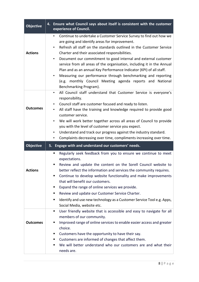| <b>Objective</b> | Ensure what Council says about itself is consistent with the customer<br>4.<br>experience of Council.                                                                                                                                                                                                                                                                                                                                                                                                                                                                                                                                                 |
|------------------|-------------------------------------------------------------------------------------------------------------------------------------------------------------------------------------------------------------------------------------------------------------------------------------------------------------------------------------------------------------------------------------------------------------------------------------------------------------------------------------------------------------------------------------------------------------------------------------------------------------------------------------------------------|
| <b>Actions</b>   | Continue to undertake a Customer Service Survey to find out how we<br>$\bullet$<br>are going and identify areas for improvement.<br>Refresh all staff on the standards outlined in the Customer Service<br>$\bullet$<br>Charter and their associated responsibilities.<br>Document our commitment to good internal and external customer<br>٠<br>service from all areas of the organisation, including it in the Annual<br>Plan and as an annual Key Performance Indicator (KPI) of all staff.<br>Measuring our performance through benchmarking and reporting<br>(e.g. monthly Council Meeting agenda reports and National<br>Benchmarking Program). |
| <b>Outcomes</b>  | All Council staff understand that Customer Service is everyone's<br>$\bullet$<br>responsibility.<br>Council staff are customer focused and ready to listen.<br>All staff have the training and knowledge required to provide good<br>customer service.<br>We will work better together across all areas of Council to provide<br>you with the level of customer service you expect.<br>Understand and track our progress against the industry standard.<br>Complaints decreasing over time, compliments increasing over time.                                                                                                                         |
| Objective        | 5. Engage with and understand our customers' needs.                                                                                                                                                                                                                                                                                                                                                                                                                                                                                                                                                                                                   |
| <b>Actions</b>   | Regularly seek feedback from you to ensure we continue to meet<br>٠<br>expectations.<br>Review and update the content on the Sorell Council website to<br>better reflect the information and services the community requires.<br>Continue to develop website functionality and make improvements<br>that will benefit our customers.<br>Expand the range of online services we provide.<br>Review and update our Customer Service Charter.<br>ш                                                                                                                                                                                                       |
|                  | Identify and use new technology as a Customer Service Tool e.g. Apps,<br>ш<br>Social Media, website etc.                                                                                                                                                                                                                                                                                                                                                                                                                                                                                                                                              |
| <b>Outcomes</b>  | User friendly website that is accessible and easy to navigate for all<br>ш<br>members of our community.<br>Improved range of online services to enable easier access and greater<br>choice.<br>Customers have the opportunity to have their say.<br>ш<br>Customers are informed of changes that affect them.<br>We will better understand who our customers are and what their<br>٠<br>needs are.                                                                                                                                                                                                                                                     |